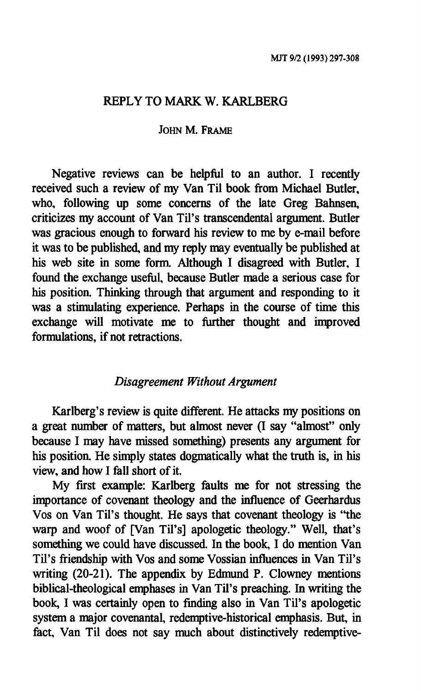# **REPLY TO MARK W. KARLBERG**

#### **JOHN M. FRAME**

**Negative reviews can be helpful to an author. I recently received such a review of my Van Til book from Michael Butler, who, following up some concerns of the late Greg Bahnsen, criticizes my account of Van Til's transcendental argument. Butler was gracious enough to forward his review to me by e-mail before it was to be published, and my reply may eventually be published at his web site in some form. Although I disagreed with Butler, I found the exchange useful, because Butler made a serious case for his position. Thinking through that argument and responding to it was a stimulating experience. Perhaps in the course of time this exchange will motivate me to further thought and improved formulations, if not retractions.** 

### *Disagreement Without Argument*

**Karlberg's review is quite different. He attacks my positions on a great number of matters, but almost never (I say "almost" only because I may have missed something) presents any argument for his position. He simply states dogmatically what the truth is, in his view, and how I fall short of it.** 

**My first example: Karlberg faults me for not stressing the importance of covenant theology and the influence of Geerhardus Vos on Van Til's thought. He says that covenant theology is "the warp and woof of [Van Til's] apologetic theology." Well, that's something we could have discussed. In the book, I do mention Van Til's friendship with Vos and some Vossian influences in Van Til's writing (20-21). The appendix by Edmund P. Clowney mentions biblical-theological emphases in Van Til's preaching. In writing the book, I was certainly open to finding also in Van Til's apologetic system a major covenantal, redemptive-historical emphasis. But, in fact, Van Til does not say much about distinctively redemptive-**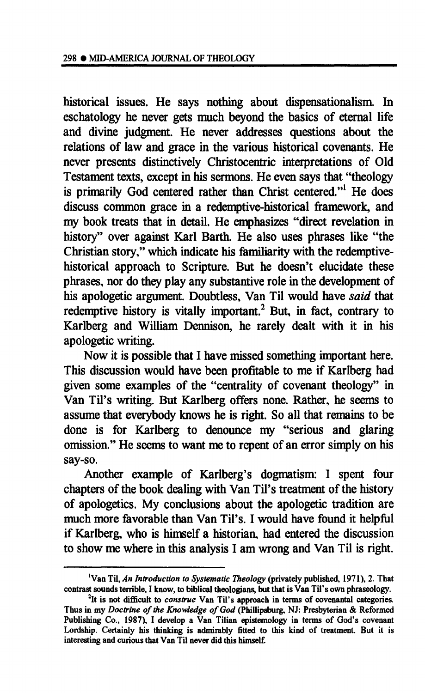**historical issues. He says nothing about dispensationalism. In eschatology he never gets much beyond the basics of eternal life and divine judgment. He never addresses questions about the relations of law and grace in the various historical covenants. He never presents distinctively Christocentric interpretations of Old Testament texts, except in his sermons. He even says that "theology is primarily God centered rather than Christ centered."<sup>1</sup> He does discuss common grace in a redemptive-historical framework, and my book treats that in detail. He emphasizes "direct revelation in history" over against Karl Barth. He also uses phrases like "the Christian story," which indicate his familiarity with the redemptivehistorical approach to Scripture. But he doesn't elucidate these phrases, nor do they play any substantive role in the development of his apologetic argument. Doubtless, Van Til would have** *said* **that redemptive history is vitally important.<sup>2</sup> But, in fact, contrary to Karlberg and William Dennison, he rarely dealt with it in his apologetic writing.** 

**Now it is possible that I have missed something important here. This discussion would have been profitable to me if Karlberg had given some examples of the "centrality of covenant theology" in Van Til's writing. But Karlberg offers none. Rather, he seems to assume that everybody knows he is right. So all that remains to be done is for Karlberg to denounce my "serious and glaring omission." He seems to want me to repent of an error simply on his say-so.** 

**Another example of Karlberg's dogmatism: I spent four chapters of the book dealing with Van Til's treatment of the history of apologetics. My conclusions about the apologetic tradition are much more favorable than Van Til's. I would have found it helpful if Karlberg, who is himself a historian, had entered the discussion to show me where in this analysis I am wrong and Van Til is right.** 

**<sup>\*</sup>Van** *Τύ,Αη Introduction to Systematic Theology* **(privately published, 1971), 2. That contrast sounds terrible, I know, to biblical theologians, but that is Van Til's own phraseology.** 

**<sup>2</sup> It is not difficult to** *construe* **Van Til's approach in terms of covenantal categories. Thus in my** *Doctrine of the Knowledge of God* **(Phillipsburg, ΝJ: Presbyterian & Reformed Publishing Co., 1987), I develop a Van Tilian epistemology in terms of God's covenant Lordship. Certainly his thinking is admirably fitted to this kind of treatment. But it is interesting and curious that Van Til never did this himself.**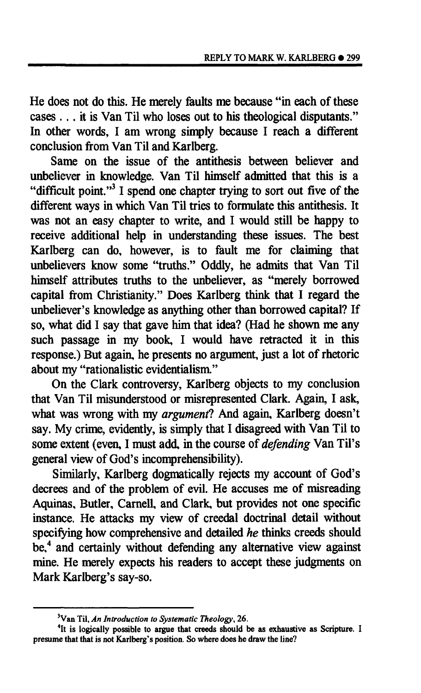**He does not do this. He merely faults me because "in each of these cases .. . it is Van Til who loses out to his theological disputants." In other words, I am wrong simply because I reach a different conclusion from Van Til and Karlberg.** 

**Same on the issue of the antithesis between believer and unbeliever in knowledge. Van Til himself admitted that this is a "difficult point."<sup>3</sup> 1 spend one chapter trying to sort out five of the different ways in which Van Til tries to formulate this antithesis. It was not an easy chapter to write, and I would still be happy to receive additional help in understanding these issues. The best Karlberg can do, however, is to fault me for claiming that unbelievers know some "truths." Oddly, he admits that Van Til himself attributes truths to the unbeliever, as "merely borrowed capital from Christianity." Does Karlberg think that I regard the unbeliever's knowledge as anything other than borrowed capital? If so, what did I say that gave him that idea? (Had he shown me any such passage in my book, I would have retracted it in this response.) But again, he presents no argument, just a lot of rhetoric about my "rationalistic evidentialism."** 

**On the Clark controversy, Karlberg objects to my conclusion that Van Til misunderstood or misrepresented Clark. Again, I ask, what was wrong with my** *argument\*?* **And again, Karlberg doesn't say. My crime, evidently, is simply that I disagreed with Van Til to some extent (even, I must add, in the course of** *defending* **Van Til's general view of God's incomprehensibility).** 

**Similarly, Karlberg dogmatically rejects my account of God's decrees and of the problem of evil. He accuses me of misreading Aquinas, Butler, Carnell, and Clark, but provides not one specific instance. He attacks my view of creedal doctrinal detail without specifying how comprehensive and detailed** *he* **thinks creeds should be,<sup>4</sup> and certainly without defending any alternative view against mine. He merely expects his readers to accept these judgments on Mark Karlberg's say-so.** 

**<sup>3</sup>Van Til,** *An Introduction to Systematic Theology,* **26.** 

<sup>&</sup>lt;sup>4</sup>It is logically possible to argue that creeds should be as exhaustive as Scripture. I **presume that that is not Karlberg\*s position. So where does he draw the line?**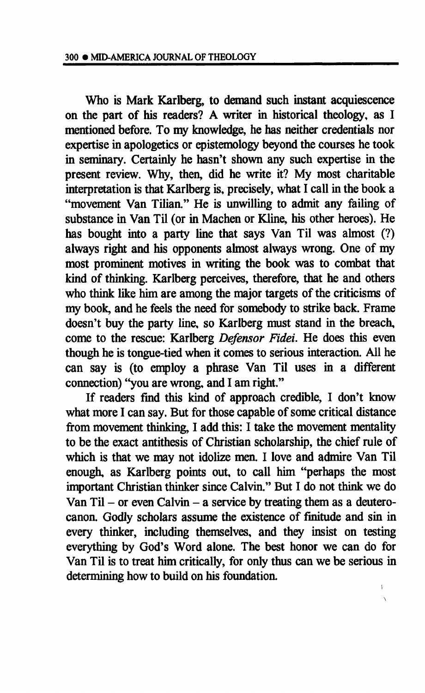**Who is Mark Karlberg, to demand such instant acquiescence on the part of his readers? A writer in historical theology, as I mentioned before. To my knowledge, he has neither credentials nor expertise in apologetics or epistemology beyond the courses he took in seminary. Certainly he hasn't shown any such expertise in the present review. Why, then, did he write it? My most charitable interpretation is that Karlberg is, precisely, what I call in the book a "movement Van Tilian." He is unwilling to admit any failing of substance in Van Til (or in Machen or Kline, his other heroes). He has bought into a party line that says Van Til was almost (?) always right and his opponents almost always wrong. One of my most prominent motives in writing the book was to combat that kind of thinking. Karlberg perceives, therefore, that he and others who think like him are among the major targets of the criticisms of my book, and he feels the need for somebody to strike back. Frame doesn't buy the party line, so Karlberg must stand in the breach, come to the rescue: Karlberg** *Defensor Fidel* **He does this even though he is tongue-tied when it comes to serious interaction. All he can say is (to employ a phrase Van Til uses in a different connection) "you are wrong, and I am right."** 

**If readers find this kind of approach credible, I don't know what more I can say. But for those capable of some critical distance from movement thinking, I add this: I take the movement mentality to be the exact antithesis of Christian scholarship, the chief rule of which is that we may not idolize men. I love and admire Van Til enough, as Karlberg points out, to call him "perhaps the most important Christian thinker since Calvin." But I do not think we do Van Til - or even Calvin - a service by treating them as a deuterocanon. Godly scholars assume the existence of finitude and sin in every thinker, including themselves, and they insist on testing everything by God's Word alone. The best honor we can do for Van Til is to treat him critically, for only thus can we be serious in determining how to build on his foundation.**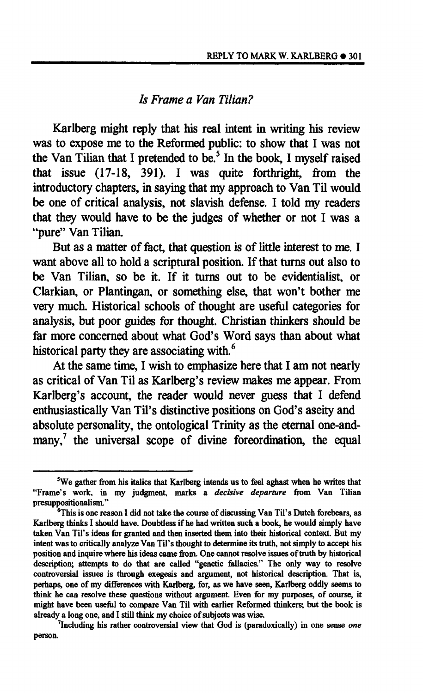### *Is Frame a Van Tilian?*

**Karlberg might reply that his real intent in writing his review was to expose me to the Reformed public: to show that I was not the Van Tilian that I pretended to be.<sup>5</sup> In the book, I myself raised that issue (17-18, 391). I was quite forthright, from the introductory chapters, in saying that my approach to Van Til would be one of critical analysis, not slavish defense. I told my readers that they would have to be the judges of whether or not I was a "pure" Van Tilian.** 

**But as a matter of fact, that question is of little interest to me. I want above all to hold a scriptural position. If that turns out also to be Van Tilian, so be it. If it turns out to be evidentialist, or Clarkian, or Plantingan, or something else, that won't bother me very much. Historical schools of thought are useful categories for analysis, but poor guides for thought. Christian thinkers should be far more concerned about what God's Word says than about what historical party they are associating with.<sup>6</sup>**

**At the same time, I wish to emphasize here that I am not nearly as critical of Van Til as Karlberg's review makes me appear. From Karlberg's account, the reader would never guess that I defend enthusiastically Van Til's distinctive positions on God's aseity and absolute personality, the ontological Trinity as the eternal one-andmany,<sup>7</sup> the universal scope of divine foreordination, the equal** 

**<sup>s</sup>We gather from his italics that Karlberg intends us to feel aghast when he writes that "Frame's work, in my judgment, marks a** *decisive departure* **from Van Tilian presuppositionalism."** 

**<sup>6</sup>This is one reason I did not take the course of discussing Van Til's Dutch forebears, as Karlberg thinks I should have. Doubtless if he had written such a book, he would simply have taken Van Til's ideas for granted and then inserted them into their historical context. But my intent was to critically analyze Van Til's thought to determine its truth, not simply to accept his position and inquire where his ideas came from. One cannot resolve issues of truth by historical description; attempts to do that are called "genetic fallacies." The only way to resolve controversial issues is through exegesis and argument, not historical description. That is, perhaps, one of my differences with Karlberg, for, as we have seen, Karlberg oddly seems to think he can resolve these questions without argument. Even for my purposes, of course,** *it*  **might have been useful to compare Van Til with earlier Reformed thinkers; but the book is already a long one, and I still think my choice of subjects was wise.** 

**including his rather controversial view that God is (paradoxically) in one sense** *one*  **person.**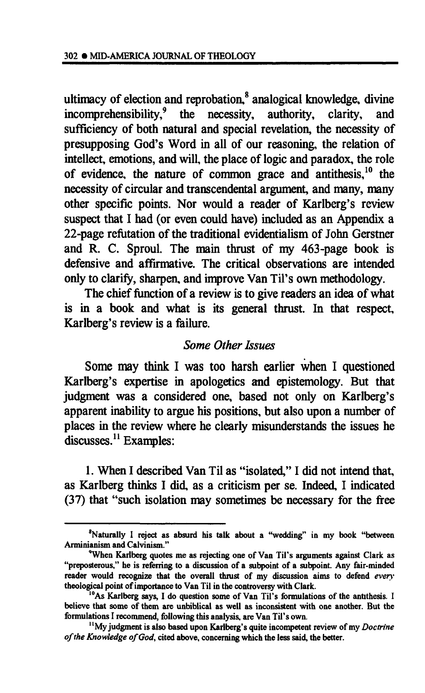ultimacy of election and reprobation,<sup>8</sup> analogical knowledge, divine **incomprehensibility,<sup>9</sup> the necessity, authority, clarity, and sufficiency of both natural and special revelation, the necessity of presupposing God's Word in all of our reasoning, the relation of intellect, emotions, and will, the place of logic and paradox, the role of evidence, the nature of common grace and antithesis,<sup>10</sup> the necessity of circular and transcendental argument, and many, many other specific points. Nor would a reader of Karlberg's review suspect that I had (or even could have) included as an Appendix a 22-page refutation of the traditional evidentialism of John Gerstner and R. C. Sproul. The main thrust of my 463-page book is defensive and affirmative. The critical observations are intended only to clarify, sharpen, and improve Van Til's own methodology.** 

**The chief function of a review is to give readers an idea of what is in a book and what is its general thrust. In that respect, Karlberg's review is a failure.** 

## *Some Other Issues*

**Some may think I was too harsh earlier when I questioned Karlberg's expertise in apologetics and epistemology. But that judgment was a considered one, based not only on Karlberg's apparent inability to argue his positions, but also upon a number of places in the review where he clearly misunderstands the issues he discusses.<sup>11</sup> Examples:** 

**1. When I described Van Til as "isolated," I did not intend that, as Karlberg thinks I did, as a criticism per se. Indeed, I indicated (37) that "such isolation may sometimes be necessary for the free** 

**<sup>8</sup>Naturally I reject as absurd his talk about a "wedding" in my book "between Arminianism and Calvinism."** 

**<sup>Q</sup>When Karlberg quotes me as rejecting one of Van Til's arguments against Clark as "preposterous," he is referring to a discussion of a subpoint of a subpoint. Any fair-minded reader would recognize that the overall thrust of my discussion aims to defend** *every*  **theological point of importance to Van Til in the controversy with Clark.** 

**<sup>10</sup>As Karlberg says, I do question some of Van Til's formulations of the antithesis. I believe that some of them are unbiblical as well as inconsistent with one another. But the formulations I recommend, following this analysis, are Van Til's own.** 

**<sup>11</sup> My judgment is also based upon Karlberg's quite incompetent review of my** *Doctrine of the Knowledge of God,* **cited above, concerning which the less said, the better.**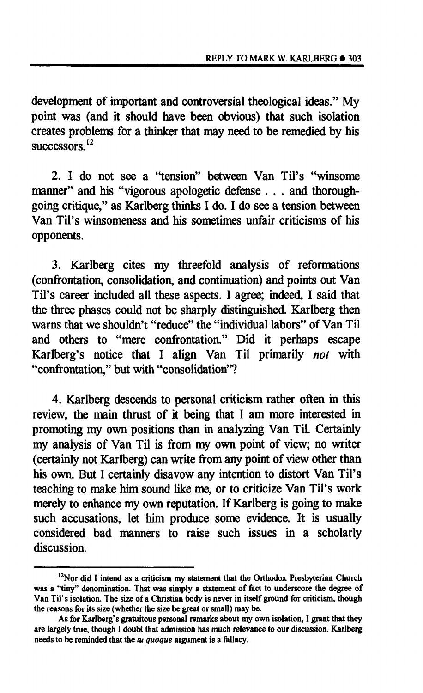**development of important and controversial theological ideas." My point was (and it should have been obvious) that such isolation creates problems for a thinker that may need to be remedied by his successors.<sup>12</sup>**

**2. I do not see a "tension" between Van Til's "winsome manner" and his "vigorous apologetic defense . . . and thoroughgoing critique," as Karlberg thinks I do. I do see a tension between Van Til's winsomeness and his sometimes unfair criticisms of his opponents.** 

**3. Karlberg cites my threefold analysis of reformations (confrontation, consolidation, and continuation) and points out Van Til's career included all these aspects. I agree; indeed, I said that the three phases could not be sharply distinguished. Karlberg then warns that we shouldn't "reduce" the "individual labors" of Van Til and others to "mere confrontation." Did it perhaps escape Karlberg's notice that I align Van Til primarily** *not* **with "confrontation," but with "consolidation"?** 

**4. Karlberg descends to personal criticism rather often in this review, the main thrust of it being that I am more interested in promoting my own positions than in analyzing Van Til. Certainly my analysis of Van Til is from my own point of view; no writer (certainly not Karlberg) can write from any point of view other than his own. But I certainly disavow any intention to distort Van Til's teaching to make him sound like me, or to criticize Van Til's work merely to enhance my own reputation. If Karlberg is going to make such accusations, let him produce some evidence. It is usually considered bad manners to raise such issues in a scholarly discussion.** 

**<sup>12</sup>Nor did I intend as a criticism my statement that the Orthodox Presbyterian Church was a "tiny" denomination. That was simply a statement of fact to underscore the degree of Van Til's isolation. The size of a Christian body is never in itself ground for criticism, though the reasons for its size (whether the size be great or small) may be.** 

**As for Karlberg's gratuitous personal remarks about my own isolation, I grant that they are largely true, though I doubt that admission has much relevance to our discussion. Karlberg needs to be reminded that the** *tu quoque* **argument is a fallacy.**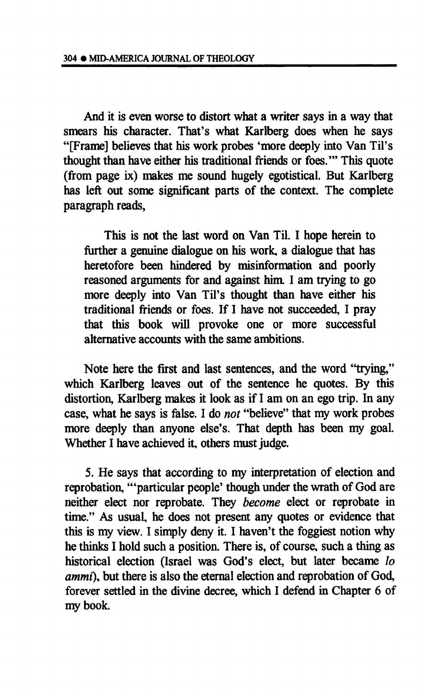**And it is even worse to distort what a writer says in a way that smears his character. That's what Karlberg does when he says "[Frame] believes that his work probes 'more deeply into Van Til's thought than have either his traditional friends or foes.'" This quote (from page ix) makes me sound hugely egotistical. But Karlberg has left out some significant parts of the context. The complete paragraph reads,** 

**This is not the last word on Van Til. I hope herein to**  further a genuine dialogue on his work, a dialogue that has **heretofore been hindered by misinformation and poorly reasoned arguments for and against him. I am trying to go more deeply into Van Til's thought than have either his traditional friends or foes. If I have not succeeded, I pray that this book will provoke one or more successful alternative accounts with the same ambitions.** 

**Note here the first and last sentences, and the word "trying," which Karlberg leaves out of the sentence he quotes. By this distortion, Karlberg makes it look as if I am on an ego trip. In any case, what he says is false. I do** *not* **"believe" that my work probes more deeply than anyone else's. That depth has been my goal. Whether I have achieved it, others must judge.** 

**5. He says that according to my interpretation of election and reprobation, "'particular people' though under the wrath of God are neither elect nor reprobate. They** *become* **elect or reprobate in time." As usual, he does not present any quotes or evidence that this is my view. I simply deny it. I haven't the foggiest notion why he thinks I hold such a position. There is, of course, such a thing as historical election (Israel was God's elect, but later became** *lo ammi\* **but there is also the eternal election and reprobation of God, forever settled in the divine decree, which I defend in Chapter 6 of my book.**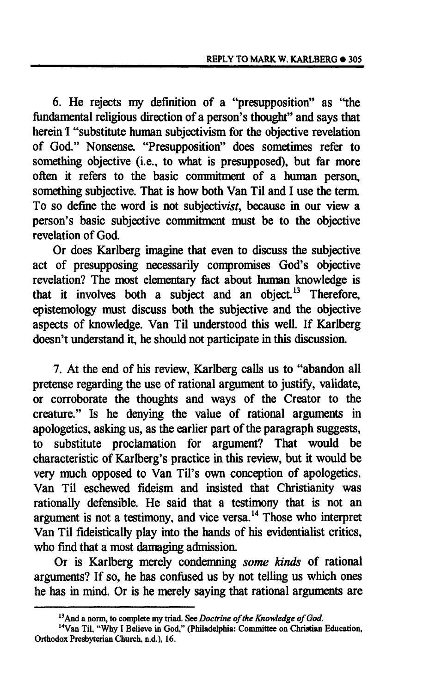**6. He rejects my definition of a "presupposition" as "the fundamental religious direction of a person's thought" and says that herein I "substitute human subjectivism for the objective revelation of God." Nonsense. "Presupposition" does sometimes refer to something objective (i.e., to what is presupposed), but far more often it refers to the basic commitment of a human person, something subjective. That is how both Van Til and I use the term.**  To so define the word is not subjectivist, because in our view a **person's basic subjective commitment must be to the objective revelation of God.** 

**Or does Karlberg imagine that even to discuss the subjective act of presupposing necessarily compromises God's objective revelation? The most elementary fact about human knowledge is that it involves both a subject and an object.<sup>13</sup> Therefore, epistemology must discuss both the subjective and the objective aspects of knowledge. Van Til understood this well. If Karlberg doesn't understand it, he should not participate in this discussion.** 

**7. At the end of his review, Karlberg calls us to "abandon all pretense regarding the use of rational argument to justify, validate, or corroborate the thoughts and ways of the Creator to the creature." Is he denying the value of rational arguments in apologetics, asking us, as the earlier part of the paragraph suggests, to substitute proclamation for argument? That would be characteristic of Karlberg's practice in this review, but it would be very much opposed to Van Til's own conception of apologetics. Van Til eschewed fideism and insisted that Christianity was rationally defensible. He said that a testimony that is not an argument is not a testimony, and vice versa.<sup>14</sup> Those who interpret Van Til fideistically play into the hands of his evidentialist critics, who find that a most damaging admission.** 

**Or is Karlberg merely condemning** *some kinds* **of rational arguments? If so, he has confused us by not telling us which ones he has in mind. Or is he merely saying that rational arguments are** 

**i3And a norm, to complete my triad. See** *Doctrine of the Knowledge of God.* 

**<sup>14</sup>Van Til, "Why I Believe in God," (Philadelphia: Committee on Christian Education, Orthodox Presbyterian Church, n.d.), 16.**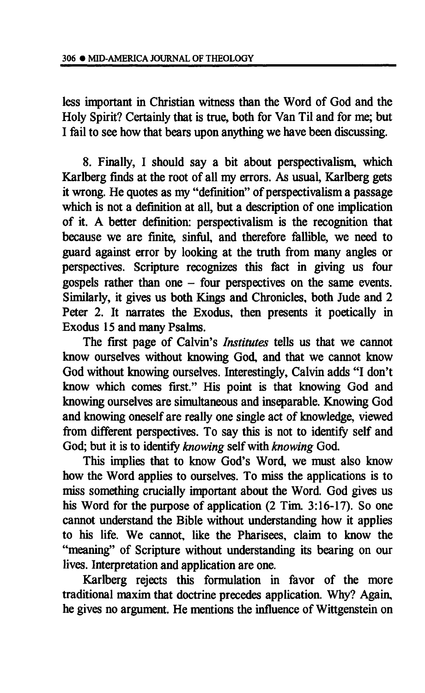**less important in Christian witness than the Word of God and the Holy Spirit? Certainly that is true, both for Van Til and for me; but I fail to see how that bears upon anything we have been discussing.** 

**8. Finally, I should say a bit about perspectivalism, which Karlberg finds at the root of all my errors. As usual, Karlberg gets it wrong. He quotes as my "definition" of perspectivalism a passage which is not a definition at all, but a description of one implication of it. A better definition: perspectivalism is the recognition that because we are finite, sinful, and therefore fallible, we need to guard against error by looking at the truth from many angles or perspectives. Scripture recognizes this fact in giving us four gospels rather than one - four perspectives on the same events. Similarly, it gives us both Kings and Chronicles, both Jude and 2 Peter 2. It narrates the Exodus, then presents it poetically in Exodus 15 and many Psalms.** 

**The first page of Calvin's** *Institutes* **tells us that we cannot know ourselves without knowing God, and that we cannot know God without knowing ourselves. Interestingly, Calvin adds "I don't know which comes first." His point is that knowing God and knowing ourselves are simultaneous and inseparable. Knowing God and knowing oneself are really one single act of knowledge, viewed from different perspectives. To say this is not to identify self and God; but it is to identify** *knowing* **self with** *knowing* **God.** 

This implies that to know God's Word, we must also know **how the Word applies to ourselves. To miss the applications is to miss something crucially important about the Word. God gives us his Word for the purpose of application (2 Tim. 3:16-17). So one cannot understand the Bible without understanding how it applies to his life. We cannot, like the Pharisees, claim to know the "meaning" of Scripture without understanding its bearing on our lives. Interpretation and application are one.** 

**Karlberg rejects this formulation in favor of the more traditional maxim that doctrine precedes application. Why? Again, he gives no argument. He mentions the influence of Wittgenstein on**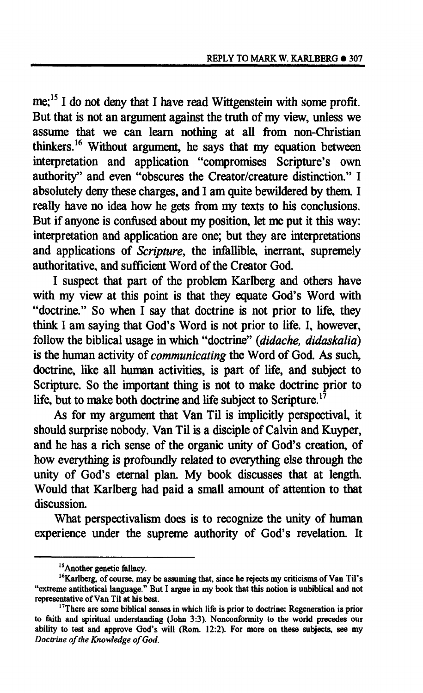**me;<sup>15</sup>1 do not deny that I have read Wittgenstein with some profit. But that is not an argument against the truth of my view, unless we assume that we can learn nothing at all from non-Christian thinkers.<sup>16</sup> Without argument, he says that my equation between interpretation and application "compromises Scripture's own authority" and even "obscures the Creator/creature distinction." I absolutely deny these charges, and I am quite bewildered by them. I really have no idea how he gets from my texts to his conclusions. But if anyone is confused about my position, let me put it this way: interpretation and application are one; but they are interpretations and applications of** *Scripture,* **the infallible, inerrant, supremely authoritative, and sufficient Word of the Creator God.** 

**I suspect that part of the problem Karlberg and others have with my view at this point is that they equate God's Word with "doctrine." So when I say that doctrine is not prior to life, they think I am saying that God's Word is not prior to life. I, however, follow the biblical usage in which "doctrine"** *(didache, didaskalia)*  **is the human activity of** *communicating* **the Word of God. As such, doctrine, like all human activities, is part of life, and subject to Scripture. So the important thing is not to make doctrine prior to life, but to make both doctrine and life subject to Scripture.<sup>17</sup>**

**As for my argument that Van Til is implicitly perspectival, it should surprise nobody. Van Til is a disciple of Calvin and Kuyper, and he has a rich sense of the organic unity of God's creation, of how everything is profoundly related to everything else through the unity of God's eternal plan. My book discusses that at length. Would that Karlberg had paid a small amount of attention to that discussion.** 

**What perspectivalism does is to recognize the unity of human experience under the supreme authority of God's revelation. It** 

**<sup>15</sup>Another genetic fallacy.** 

<sup>&</sup>lt;sup>16</sup>**Karlberg**, of course, may be assuming that, since he rejects my criticisms of Van Til's **"extreme antithetical language." But I argue in my book that this notion is unbiblical and not representative of Van Til at his best.** 

**<sup>17</sup>There are some biblical senses in which life is prior to doctrine: Regeneration is prior to faith and spiritual understanding (John 3:3). Nonconformity to the world precedes our ability to test and approve God's will (Rom. 12:2). For more on these subjects, see my**  *Doctrine of the Knowledge of God.*